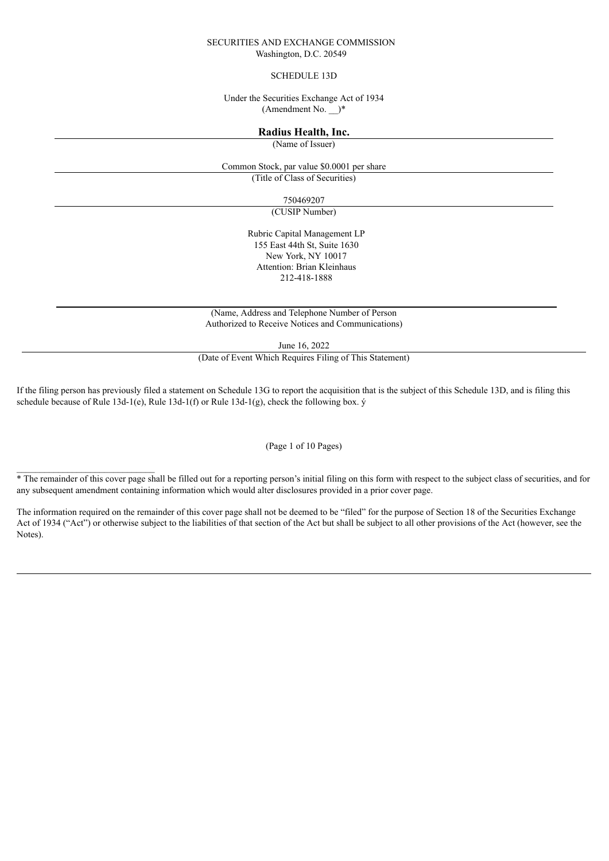#### SECURITIES AND EXCHANGE COMMISSION Washington, D.C. 20549

## SCHEDULE 13D

Under the Securities Exchange Act of 1934  $(Amendment No.$ <sup>\*</sup>

## **Radius Health, Inc.**

(Name of Issuer)

Common Stock, par value \$0.0001 per share

(Title of Class of Securities)

750469207

(CUSIP Number)

Rubric Capital Management LP 155 East 44th St, Suite 1630 New York, NY 10017 Attention: Brian Kleinhaus 212-418-1888

(Name, Address and Telephone Number of Person Authorized to Receive Notices and Communications)

June 16, 2022

(Date of Event Which Requires Filing of This Statement)

If the filing person has previously filed a statement on Schedule 13G to report the acquisition that is the subject of this Schedule 13D, and is filing this schedule because of Rule 13d-1(e), Rule 13d-1(f) or Rule 13d-1(g), check the following box. ý

(Page 1 of 10 Pages)

The remainder of this cover page shall be filled out for a reporting person's initial filing on this form with respect to the subject class of securities, and for any subsequent amendment containing information which would alter disclosures provided in a prior cover page.

 $\mathcal{L}_\text{max}$ 

The information required on the remainder of this cover page shall not be deemed to be "filed" for the purpose of Section 18 of the Securities Exchange Act of 1934 ("Act") or otherwise subject to the liabilities of that section of the Act but shall be subject to all other provisions of the Act (however, see the Notes).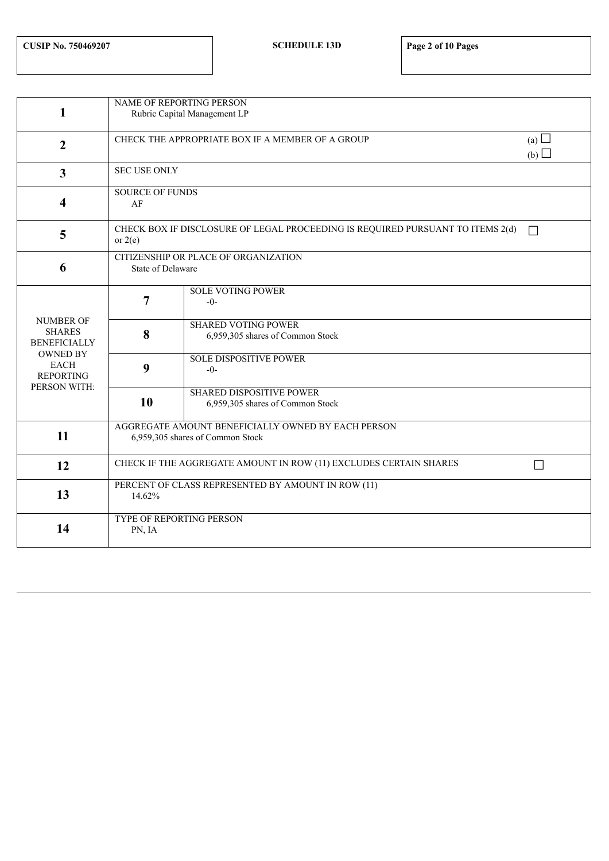|                                      | <b>NAME OF REPORTING PERSON</b>                    |                                                                                |            |  |  |  |  |  |
|--------------------------------------|----------------------------------------------------|--------------------------------------------------------------------------------|------------|--|--|--|--|--|
| 1                                    | Rubric Capital Management LP                       |                                                                                |            |  |  |  |  |  |
|                                      |                                                    |                                                                                |            |  |  |  |  |  |
| $\overline{2}$                       |                                                    | CHECK THE APPROPRIATE BOX IF A MEMBER OF A GROUP                               | (a) $\Box$ |  |  |  |  |  |
|                                      |                                                    |                                                                                | (b)        |  |  |  |  |  |
|                                      | <b>SEC USE ONLY</b>                                |                                                                                |            |  |  |  |  |  |
| $\overline{3}$                       |                                                    |                                                                                |            |  |  |  |  |  |
|                                      | <b>SOURCE OF FUNDS</b><br>AF                       |                                                                                |            |  |  |  |  |  |
| 4                                    |                                                    |                                                                                |            |  |  |  |  |  |
|                                      |                                                    |                                                                                |            |  |  |  |  |  |
| 5                                    |                                                    | CHECK BOX IF DISCLOSURE OF LEGAL PROCEEDING IS REQUIRED PURSUANT TO ITEMS 2(d) | П          |  |  |  |  |  |
|                                      | or $2(e)$                                          |                                                                                |            |  |  |  |  |  |
|                                      | CITIZENSHIP OR PLACE OF ORGANIZATION               |                                                                                |            |  |  |  |  |  |
| 6                                    | <b>State of Delaware</b>                           |                                                                                |            |  |  |  |  |  |
|                                      |                                                    |                                                                                |            |  |  |  |  |  |
|                                      | 7                                                  | <b>SOLE VOTING POWER</b><br>$-0-$                                              |            |  |  |  |  |  |
|                                      |                                                    |                                                                                |            |  |  |  |  |  |
| <b>NUMBER OF</b>                     |                                                    | <b>SHARED VOTING POWER</b>                                                     |            |  |  |  |  |  |
| <b>SHARES</b><br><b>BENEFICIALLY</b> | 8                                                  | 6,959,305 shares of Common Stock                                               |            |  |  |  |  |  |
| <b>OWNED BY</b>                      |                                                    |                                                                                |            |  |  |  |  |  |
| <b>EACH</b>                          | 9                                                  | <b>SOLE DISPOSITIVE POWER</b>                                                  |            |  |  |  |  |  |
| <b>REPORTING</b>                     |                                                    | $-0-$                                                                          |            |  |  |  |  |  |
| PERSON WITH:                         |                                                    | <b>SHARED DISPOSITIVE POWER</b>                                                |            |  |  |  |  |  |
|                                      | 10                                                 | 6,959,305 shares of Common Stock                                               |            |  |  |  |  |  |
|                                      |                                                    |                                                                                |            |  |  |  |  |  |
|                                      | AGGREGATE AMOUNT BENEFICIALLY OWNED BY EACH PERSON |                                                                                |            |  |  |  |  |  |
| 11                                   |                                                    | 6,959,305 shares of Common Stock                                               |            |  |  |  |  |  |
|                                      |                                                    |                                                                                |            |  |  |  |  |  |
| 12                                   |                                                    | CHECK IF THE AGGREGATE AMOUNT IN ROW (11) EXCLUDES CERTAIN SHARES              | П          |  |  |  |  |  |
|                                      | PERCENT OF CLASS REPRESENTED BY AMOUNT IN ROW (11) |                                                                                |            |  |  |  |  |  |
| 13                                   | 14.62%                                             |                                                                                |            |  |  |  |  |  |
|                                      |                                                    |                                                                                |            |  |  |  |  |  |
|                                      | TYPE OF REPORTING PERSON                           |                                                                                |            |  |  |  |  |  |
| 14                                   | PN, IA                                             |                                                                                |            |  |  |  |  |  |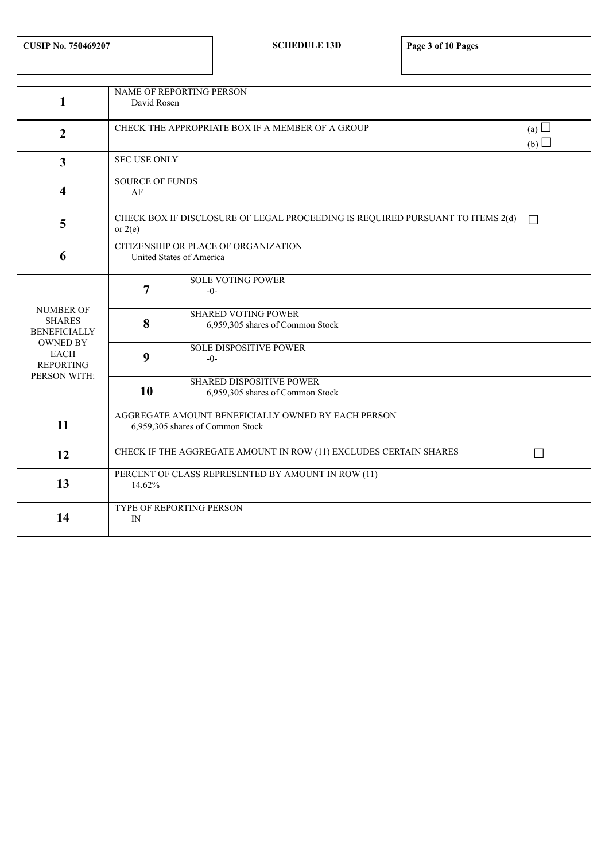|                                | <b>NAME OF REPORTING PERSON</b>                                                        |                                                                                |        |  |  |  |  |  |  |
|--------------------------------|----------------------------------------------------------------------------------------|--------------------------------------------------------------------------------|--------|--|--|--|--|--|--|
| 1                              | David Rosen                                                                            |                                                                                |        |  |  |  |  |  |  |
|                                |                                                                                        |                                                                                |        |  |  |  |  |  |  |
| $\overline{2}$                 | CHECK THE APPROPRIATE BOX IF A MEMBER OF A GROUP                                       |                                                                                |        |  |  |  |  |  |  |
|                                |                                                                                        |                                                                                | (b)    |  |  |  |  |  |  |
|                                | <b>SEC USE ONLY</b>                                                                    |                                                                                |        |  |  |  |  |  |  |
| $\overline{3}$                 |                                                                                        |                                                                                |        |  |  |  |  |  |  |
|                                | <b>SOURCE OF FUNDS</b>                                                                 |                                                                                |        |  |  |  |  |  |  |
| 4                              | AF                                                                                     |                                                                                |        |  |  |  |  |  |  |
|                                |                                                                                        |                                                                                |        |  |  |  |  |  |  |
| 5                              | or $2(e)$                                                                              | CHECK BOX IF DISCLOSURE OF LEGAL PROCEEDING IS REQUIRED PURSUANT TO ITEMS 2(d) | $\Box$ |  |  |  |  |  |  |
|                                |                                                                                        |                                                                                |        |  |  |  |  |  |  |
| 6                              | CITIZENSHIP OR PLACE OF ORGANIZATION<br>United States of America                       |                                                                                |        |  |  |  |  |  |  |
|                                |                                                                                        |                                                                                |        |  |  |  |  |  |  |
|                                |                                                                                        | <b>SOLE VOTING POWER</b>                                                       |        |  |  |  |  |  |  |
|                                | $\overline{7}$                                                                         | $-0-$                                                                          |        |  |  |  |  |  |  |
| <b>NUMBER OF</b>               |                                                                                        | <b>SHARED VOTING POWER</b>                                                     |        |  |  |  |  |  |  |
| <b>SHARES</b>                  | 8                                                                                      | 6,959,305 shares of Common Stock                                               |        |  |  |  |  |  |  |
| <b>BENEFICIALLY</b>            |                                                                                        |                                                                                |        |  |  |  |  |  |  |
| <b>OWNED BY</b><br><b>EACH</b> |                                                                                        | <b>SOLE DISPOSITIVE POWER</b>                                                  |        |  |  |  |  |  |  |
| <b>REPORTING</b>               | 9                                                                                      | $-0-$                                                                          |        |  |  |  |  |  |  |
| PERSON WITH:                   |                                                                                        | <b>SHARED DISPOSITIVE POWER</b>                                                |        |  |  |  |  |  |  |
|                                | 10                                                                                     | 6,959,305 shares of Common Stock                                               |        |  |  |  |  |  |  |
|                                |                                                                                        |                                                                                |        |  |  |  |  |  |  |
| 11                             | AGGREGATE AMOUNT BENEFICIALLY OWNED BY EACH PERSON<br>6,959,305 shares of Common Stock |                                                                                |        |  |  |  |  |  |  |
|                                |                                                                                        |                                                                                |        |  |  |  |  |  |  |
|                                |                                                                                        |                                                                                |        |  |  |  |  |  |  |
| 12                             | CHECK IF THE AGGREGATE AMOUNT IN ROW (11) EXCLUDES CERTAIN SHARES<br>□                 |                                                                                |        |  |  |  |  |  |  |
|                                | PERCENT OF CLASS REPRESENTED BY AMOUNT IN ROW (11)                                     |                                                                                |        |  |  |  |  |  |  |
| 13                             | 14.62%                                                                                 |                                                                                |        |  |  |  |  |  |  |
|                                | TYPE OF REPORTING PERSON                                                               |                                                                                |        |  |  |  |  |  |  |
| 14                             | IN                                                                                     |                                                                                |        |  |  |  |  |  |  |
|                                |                                                                                        |                                                                                |        |  |  |  |  |  |  |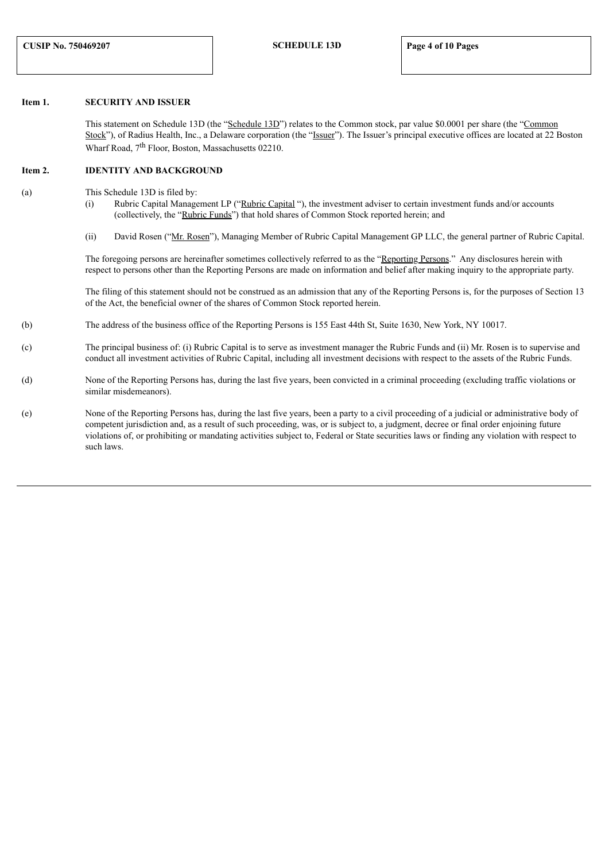## **Item 1. SECURITY AND ISSUER**

This statement on Schedule 13D (the "Schedule 13D") relates to the Common stock, par value \$0.0001 per share (the "Common" Stock"), of Radius Health, Inc., a Delaware corporation (the "Issuer"). The Issuer's principal executive offices are located at 22 Boston Wharf Road, 7<sup>th</sup> Floor, Boston, Massachusetts 02210.

#### **Item 2. IDENTITY AND BACKGROUND**

- (a) This Schedule 13D is filed by:
	- (i) Rubric Capital Management LP ("Rubric Capital "), the investment adviser to certain investment funds and/or accounts (collectively, the "Rubric Funds") that hold shares of Common Stock reported herein; and
	- (ii) David Rosen ("Mr. Rosen"), Managing Member of Rubric Capital Management GP LLC, the general partner of Rubric Capital.

The foregoing persons are hereinafter sometimes collectively referred to as the "Reporting Persons." Any disclosures herein with respect to persons other than the Reporting Persons are made on information and belief after making inquiry to the appropriate party.

The filing of this statement should not be construed as an admission that any of the Reporting Persons is, for the purposes of Section 13 of the Act, the beneficial owner of the shares of Common Stock reported herein.

- (b) The address of the business office of the Reporting Persons is 155 East 44th St, Suite 1630, New York, NY 10017.
- (c) The principal business of: (i) Rubric Capital is to serve as investment manager the Rubric Funds and (ii) Mr. Rosen is to supervise and conduct all investment activities of Rubric Capital, including all investment decisions with respect to the assets of the Rubric Funds.
- (d) None of the Reporting Persons has, during the last five years, been convicted in a criminal proceeding (excluding traffic violations or similar misdemeanors).
- (e) None of the Reporting Persons has, during the last five years, been a party to a civil proceeding of a judicial or administrative body of competent jurisdiction and, as a result of such proceeding, was, or is subject to, a judgment, decree or final order enjoining future violations of, or prohibiting or mandating activities subject to, Federal or State securities laws or finding any violation with respect to such laws.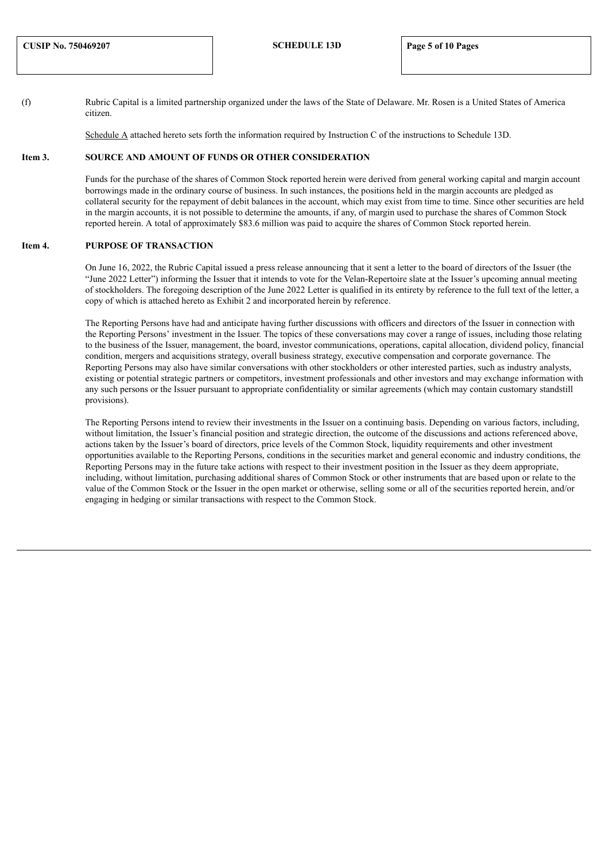(f) Rubric Capital is a limited partnership organized under the laws of the State of Delaware. Mr. Rosen is a United States of America citizen.

Schedule A attached hereto sets forth the information required by Instruction C of the instructions to Schedule 13D.

#### **Item 3. SOURCE AND AMOUNT OF FUNDS OR OTHER CONSIDERATION**

Funds for the purchase of the shares of Common Stock reported herein were derived from general working capital and margin account borrowings made in the ordinary course of business. In such instances, the positions held in the margin accounts are pledged as collateral security for the repayment of debit balances in the account, which may exist from time to time. Since other securities are held in the margin accounts, it is not possible to determine the amounts, if any, of margin used to purchase the shares of Common Stock reported herein. A total of approximately \$83.6 million was paid to acquire the shares of Common Stock reported herein.

## **Item 4. PURPOSE OF TRANSACTION**

On June 16, 2022, the Rubric Capital issued a press release announcing that it sent a letter to the board of directors of the Issuer (the "June 2022 Letter") informing the Issuer that it intends to vote for the Velan-Repertoire slate at the Issuer's upcoming annual meeting of stockholders. The foregoing description of the June 2022 Letter is qualified in its entirety by reference to the full text of the letter, a copy of which is attached hereto as Exhibit 2 and incorporated herein by reference.

The Reporting Persons have had and anticipate having further discussions with officers and directors of the Issuer in connection with the Reporting Persons' investment in the Issuer. The topics of these conversations may cover a range of issues, including those relating to the business of the Issuer, management, the board, investor communications, operations, capital allocation, dividend policy, financial condition, mergers and acquisitions strategy, overall business strategy, executive compensation and corporate governance. The Reporting Persons may also have similar conversations with other stockholders or other interested parties, such as industry analysts, existing or potential strategic partners or competitors, investment professionals and other investors and may exchange information with any such persons or the Issuer pursuant to appropriate confidentiality or similar agreements (which may contain customary standstill provisions).

The Reporting Persons intend to review their investments in the Issuer on a continuing basis. Depending on various factors, including, without limitation, the Issuer's financial position and strategic direction, the outcome of the discussions and actions referenced above, actions taken by the Issuer's board of directors, price levels of the Common Stock, liquidity requirements and other investment opportunities available to the Reporting Persons, conditions in the securities market and general economic and industry conditions, the Reporting Persons may in the future take actions with respect to their investment position in the Issuer as they deem appropriate, including, without limitation, purchasing additional shares of Common Stock or other instruments that are based upon or relate to the value of the Common Stock or the Issuer in the open market or otherwise, selling some or all of the securities reported herein, and/or engaging in hedging or similar transactions with respect to the Common Stock.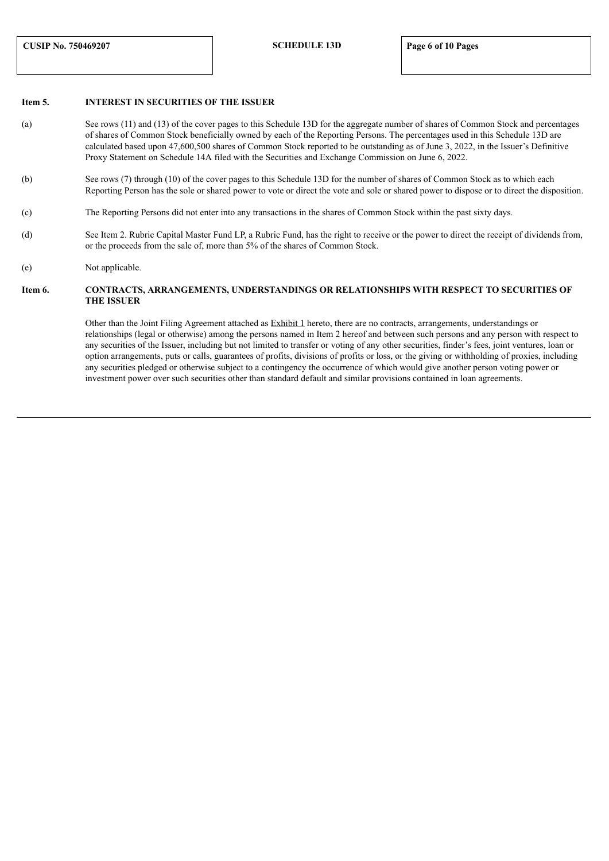## **Item 5. INTEREST IN SECURITIES OF THE ISSUER**

- (a) See rows (11) and (13) of the cover pages to this Schedule 13D for the aggregate number of shares of Common Stock and percentages of shares of Common Stock beneficially owned by each of the Reporting Persons. The percentages used in this Schedule 13D are calculated based upon 47,600,500 shares of Common Stock reported to be outstanding as of June 3, 2022, in the Issuer's Definitive Proxy Statement on Schedule 14A filed with the Securities and Exchange Commission on June 6, 2022.
- (b) See rows (7) through (10) of the cover pages to this Schedule 13D for the number of shares of Common Stock as to which each Reporting Person has the sole or shared power to vote or direct the vote and sole or shared power to dispose or to direct the disposition.
- (c) The Reporting Persons did not enter into any transactions in the shares of Common Stock within the past sixty days.
- (d) See Item 2. Rubric Capital Master Fund LP, a Rubric Fund, has the right to receive or the power to direct the receipt of dividends from, or the proceeds from the sale of, more than 5% of the shares of Common Stock.
- (e) Not applicable.

#### **Item 6. CONTRACTS, ARRANGEMENTS, UNDERSTANDINGS OR RELATIONSHIPS WITH RESPECT TO SECURITIES OF THE ISSUER**

Other than the Joint Filing Agreement attached as Exhibit 1 hereto, there are no contracts, arrangements, understandings or relationships (legal or otherwise) among the persons named in Item 2 hereof and between such persons and any person with respect to any securities of the Issuer, including but not limited to transfer or voting of any other securities, finder's fees, joint ventures, loan or option arrangements, puts or calls, guarantees of profits, divisions of profits or loss, or the giving or withholding of proxies, including any securities pledged or otherwise subject to a contingency the occurrence of which would give another person voting power or investment power over such securities other than standard default and similar provisions contained in loan agreements.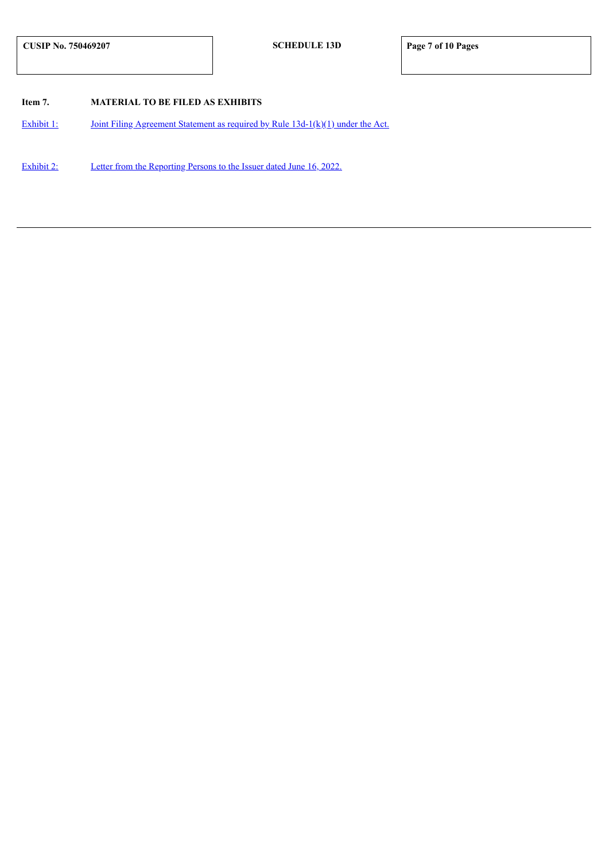## **Item 7. MATERIAL TO BE FILED AS EXHIBITS**

[Exhibit](#page-9-0) 1: Joint Filing Agreement Statement as required by Rule [13d-1\(k\)\(1\)](#page-9-0) under the Act.

[Exhibit](#page-10-0) 2: Letter from the [Reporting](#page-10-0) Persons to the Issuer dated June 16, 2022.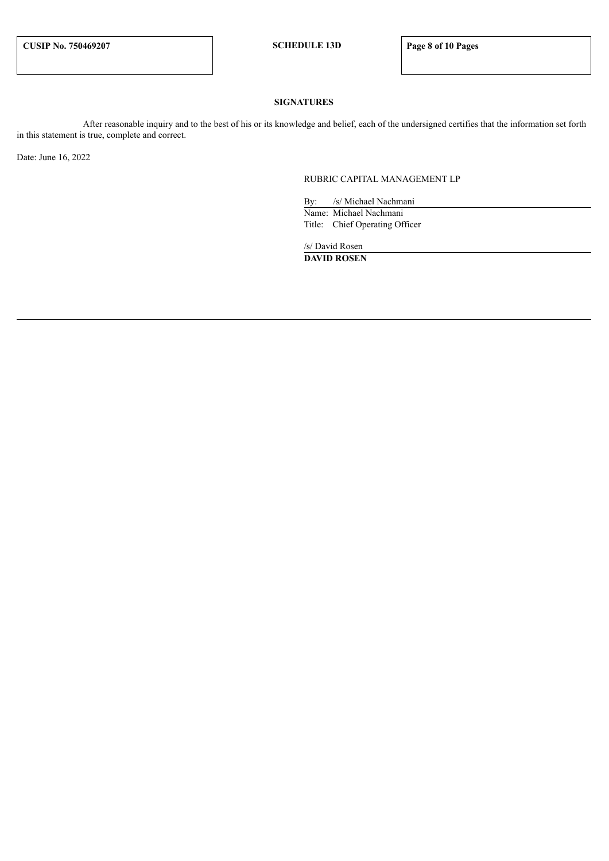## **SIGNATURES**

After reasonable inquiry and to the best of his or its knowledge and belief, each of the undersigned certifies that the information set forth in this statement is true, complete and correct.

Date: June 16, 2022

RUBRIC CAPITAL MANAGEMENT LP

By: /s/ Michael Nachmani Name: Michael Nachmani Title: Chief Operating Officer

/s/ David Rosen **DAVID ROSEN**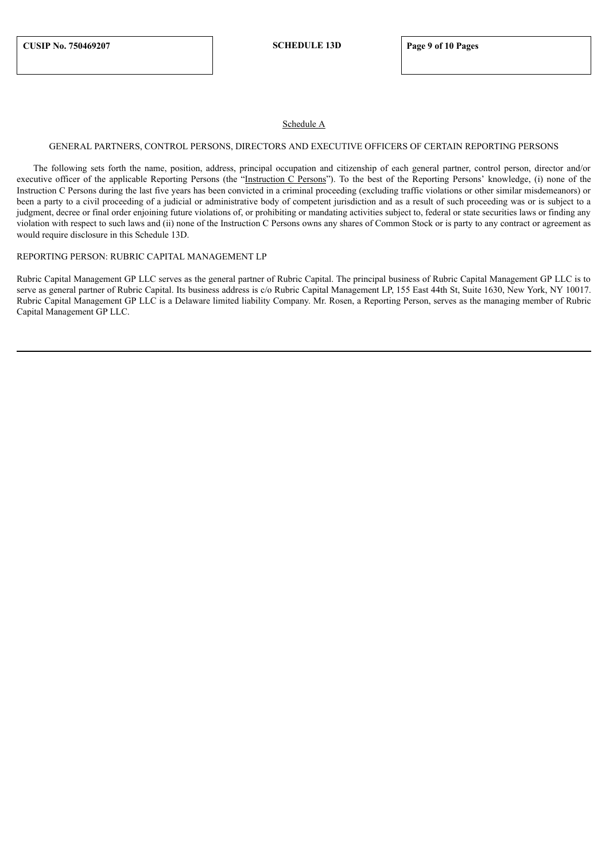## Schedule A

#### GENERAL PARTNERS, CONTROL PERSONS, DIRECTORS AND EXECUTIVE OFFICERS OF CERTAIN REPORTING PERSONS

The following sets forth the name, position, address, principal occupation and citizenship of each general partner, control person, director and/or executive officer of the applicable Reporting Persons (the "Instruction C Persons"). To the best of the Reporting Persons' knowledge, (i) none of the Instruction C Persons during the last five years has been convicted in a criminal proceeding (excluding traffic violations or other similar misdemeanors) or been a party to a civil proceeding of a judicial or administrative body of competent jurisdiction and as a result of such proceeding was or is subject to a judgment, decree or final order enjoining future violations of, or prohibiting or mandating activities subject to, federal or state securities laws or finding any violation with respect to such laws and (ii) none of the Instruction C Persons owns any shares of Common Stock or is party to any contract or agreement as would require disclosure in this Schedule 13D.

## REPORTING PERSON: RUBRIC CAPITAL MANAGEMENT LP

Rubric Capital Management GP LLC serves as the general partner of Rubric Capital. The principal business of Rubric Capital Management GP LLC is to serve as general partner of Rubric Capital. Its business address is c/o Rubric Capital Management LP, 155 East 44th St, Suite 1630, New York, NY 10017. Rubric Capital Management GP LLC is a Delaware limited liability Company. Mr. Rosen, a Reporting Person, serves as the managing member of Rubric Capital Management GP LLC.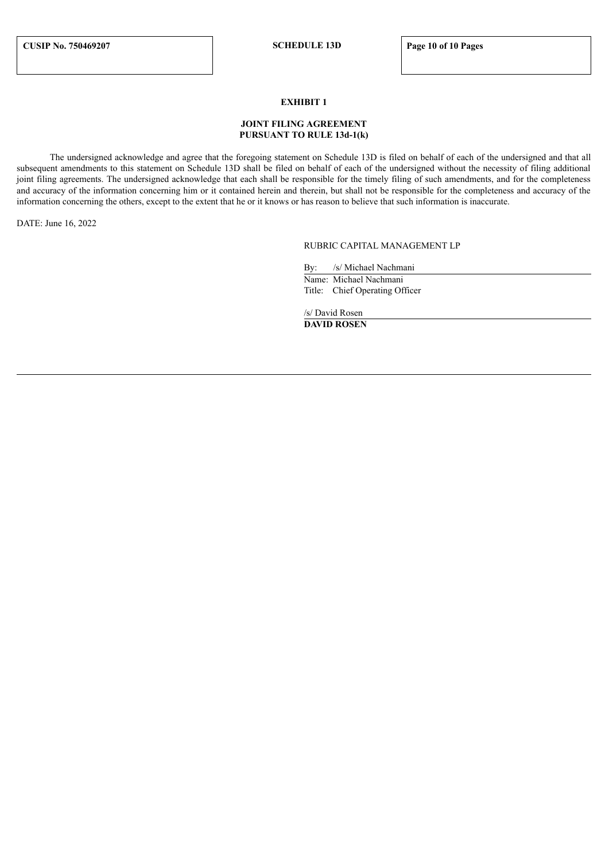## **EXHIBIT 1**

## **JOINT FILING AGREEMENT PURSUANT TO RULE 13d-1(k)**

<span id="page-9-0"></span>The undersigned acknowledge and agree that the foregoing statement on Schedule 13D is filed on behalf of each of the undersigned and that all subsequent amendments to this statement on Schedule 13D shall be filed on behalf of each of the undersigned without the necessity of filing additional joint filing agreements. The undersigned acknowledge that each shall be responsible for the timely filing of such amendments, and for the completeness and accuracy of the information concerning him or it contained herein and therein, but shall not be responsible for the completeness and accuracy of the information concerning the others, except to the extent that he or it knows or has reason to believe that such information is inaccurate.

DATE: June 16, 2022

## RUBRIC CAPITAL MANAGEMENT LP

By: /s/ Michael Nachmani Name: Michael Nachmani

Title: Chief Operating Officer

/s/ David Rosen **DAVID ROSEN**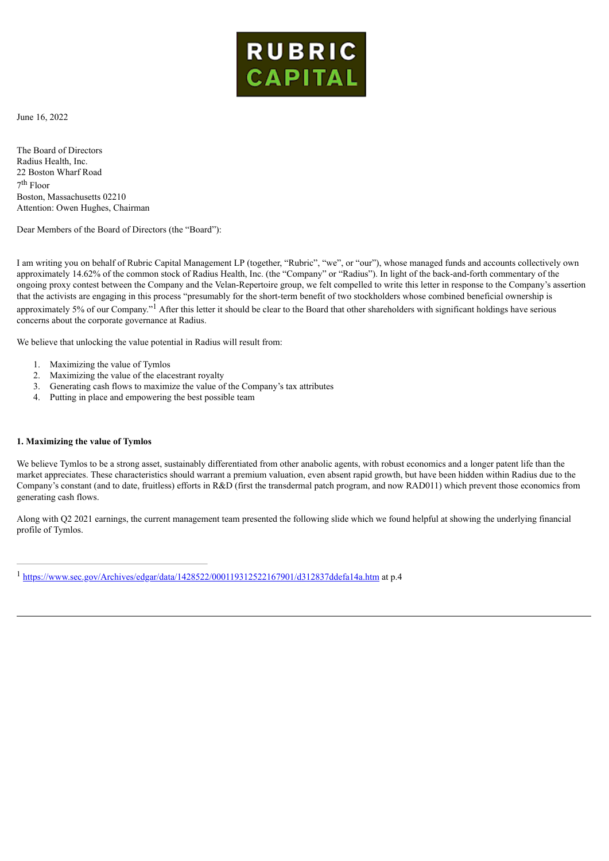

<span id="page-10-0"></span>June 16, 2022

The Board of Directors Radius Health, Inc. 22 Boston Wharf Road 7 th Floor Boston, Massachusetts 02210 Attention: Owen Hughes, Chairman

Dear Members of the Board of Directors (the "Board"):

I am writing you on behalf of Rubric Capital Management LP (together, "Rubric", "we", or "our"), whose managed funds and accounts collectively own approximately 14.62% of the common stock of Radius Health, Inc. (the "Company" or "Radius"). In light of the back-and-forth commentary of the ongoing proxy contest between the Company and the Velan-Repertoire group, we felt compelled to write this letter in response to the Company's assertion that the activists are engaging in this process "presumably for the short-term benefit of two stockholders whose combined beneficial ownership is approximately 5% of our Company.<sup>"1</sup> After this letter it should be clear to the Board that other shareholders with significant holdings have serious concerns about the corporate governance at Radius.

We believe that unlocking the value potential in Radius will result from:

- 1. Maximizing the value of Tymlos
- 2. Maximizing the value of the elacestrant royalty
- 3. Generating cash flows to maximize the value of the Company's tax attributes
- 4. Putting in place and empowering the best possible team

## **1. Maximizing the value of Tymlos**

We believe Tymlos to be a strong asset, sustainably differentiated from other anabolic agents, with robust economics and a longer patent life than the market appreciates. These characteristics should warrant a premium valuation, even absent rapid growth, but have been hidden within Radius due to the Company's constant (and to date, fruitless) efforts in R&D (first the transdermal patch program, and now RAD011) which prevent those economics from generating cash flows.

Along with Q2 2021 earnings, the current management team presented the following slide which we found helpful at showing the underlying financial profile of Tymlos.

<sup>1</sup> [https://www.sec.gov/Archives/edgar/data/1428522/000119312522167901/d312837ddefa14a.htm](http://www.sec.gov/Archives/edgar/data/1428522/000119312522167901/d312837ddefa14a.htm) at p.4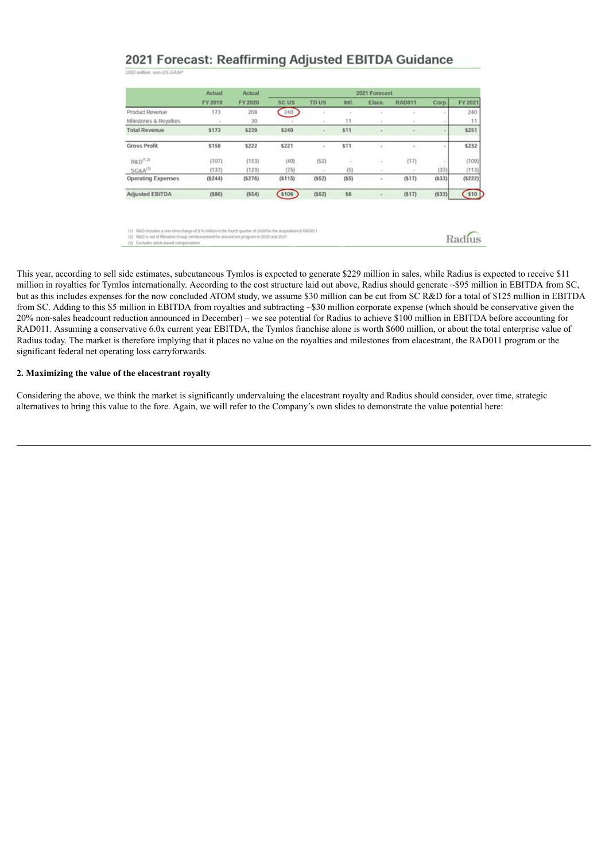# 2021 Forecast: Reaffirming Adjusted EBITDA Guidance

| USD million, non-US GAAP |  |  |  |  |
|--------------------------|--|--|--|--|
|                          |  |  |  |  |

|                           | Actual<br>FY 2019 | Actual<br>FY 2020 | 2021 Forecast    |             |              |        |               |        |         |
|---------------------------|-------------------|-------------------|------------------|-------------|--------------|--------|---------------|--------|---------|
|                           |                   |                   | SC <sub>US</sub> | <b>TDUS</b> | anti.        | Elace. | <b>RAD011</b> | Corp.  | FY 2021 |
| Product Revenue           | 173               | 208               | 240              |             |              |        |               | $\sim$ | 240     |
| Milestones & Royalties    |                   | 30                |                  | $\sim$      | 11           |        |               |        | 11      |
| <b>Total Revenue</b>      | \$173             | \$239             | \$240            |             | 511          |        |               |        | \$251   |
| <b>Gross Profit</b>       | \$158<br>2023 X   | \$222<br>---      | \$221<br>1259    | $\sim$      | \$11<br>93.W | $\sim$ | $\sim$        |        | \$232   |
| R&D <sup>(1,2)</sup>      | (107)             | (153)             | (40)             | (52)        | Ξ            | ÷      | (17)          |        | (109)   |
| SG&A <sup>(3)</sup>       | (137)             | (123)             | (75)             |             | (5)          | -      |               | (33)   | (113)   |
| <b>Operating Expenses</b> | (5244)            | (5276)            | (5115)           | (552)       | (55)         | $\sim$ | (517)         | (533)  | (5222)  |
| Adjusted EBITDA           | (586)             | (554)             | \$106            | (552)       | \$6          |        | (517)         | (533)  | $510$   |

(1) R&D includes a one-time charge of \$16 million in the fourth quarter of 2020 for the acquisition of RAD011<br>(2) R&D is net of Menarini Group neinbursement for elacestrant program in 2020 and 2021 (3) Excludes stock headd con-

Radius

This year, according to sell side estimates, subcutaneous Tymlos is expected to generate \$229 million in sales, while Radius is expected to receive \$11 million in royalties for Tymlos internationally. According to the cost structure laid out above, Radius should generate ~\$95 million in EBITDA from SC, but as this includes expenses for the now concluded ATOM study, we assume \$30 million can be cut from SC R&D for a total of \$125 million in EBITDA from SC. Adding to this \$5 million in EBITDA from royalties and subtracting ~\$30 million corporate expense (which should be conservative given the 20% non-sales headcount reduction announced in December) – we see potential for Radius to achieve \$100 million in EBITDA before accounting for RAD011. Assuming a conservative 6.0x current year EBITDA, the Tymlos franchise alone is worth \$600 million, or about the total enterprise value of Radius today. The market is therefore implying that it places no value on the royalties and milestones from elacestrant, the RAD011 program or the significant federal net operating loss carryforwards.

## **2. Maximizing the value of the elacestrant royalty**

Considering the above, we think the market is significantly undervaluing the elacestrant royalty and Radius should consider, over time, strategic alternatives to bring this value to the fore. Again, we will refer to the Company's own slides to demonstrate the value potential here: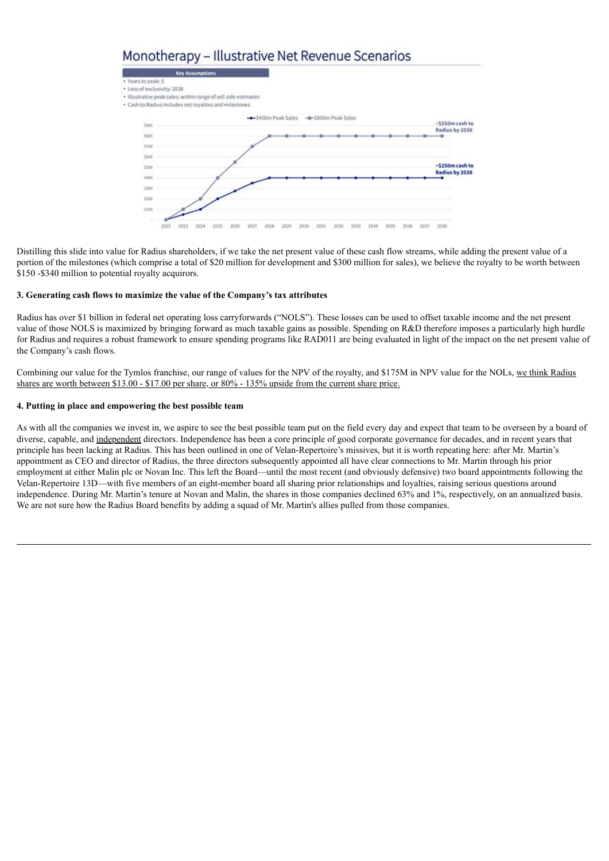# Monotherapy - Illustrative Net Revenue Scenarios



Distilling this slide into value for Radius shareholders, if we take the net present value of these cash flow streams, while adding the present value of a portion of the milestones (which comprise a total of \$20 million for development and \$300 million for sales), we believe the royalty to be worth between \$150 -\$340 million to potential royalty acquirors.

## **3. Generating cash flows to maximize the value of the Company's tax attributes**

Radius has over \$1 billion in federal net operating loss carryforwards ("NOLS"). These losses can be used to offset taxable income and the net present value of those NOLS is maximized by bringing forward as much taxable gains as possible. Spending on R&D therefore imposes a particularly high hurdle for Radius and requires a robust framework to ensure spending programs like RAD011 are being evaluated in light of the impact on the net present value of the Company's cash flows.

Combining our value for the Tymlos franchise, our range of values for the NPV of the royalty, and \$175M in NPV value for the NOLs, we think Radius shares are worth between \$13.00 - \$17.00 per share, or 80% - 135% upside from the current share price.

#### **4. Putting in place and empowering the best possible team**

As with all the companies we invest in, we aspire to see the best possible team put on the field every day and expect that team to be overseen by a board of diverse, capable, and independent directors. Independence has been a core principle of good corporate governance for decades, and in recent years that principle has been lacking at Radius. This has been outlined in one of Velan-Repertoire's missives, but it is worth repeating here: after Mr. Martin's appointment as CEO and director of Radius, the three directors subsequently appointed all have clear connections to Mr. Martin through his prior employment at either Malin plc or Novan Inc. This left the Board—until the most recent (and obviously defensive) two board appointments following the Velan-Repertoire 13D—with five members of an eight-member board all sharing prior relationships and loyalties, raising serious questions around independence. During Mr. Martin's tenure at Novan and Malin, the shares in those companies declined 63% and 1%, respectively, on an annualized basis. We are not sure how the Radius Board benefits by adding a squad of Mr. Martin's allies pulled from those companies.